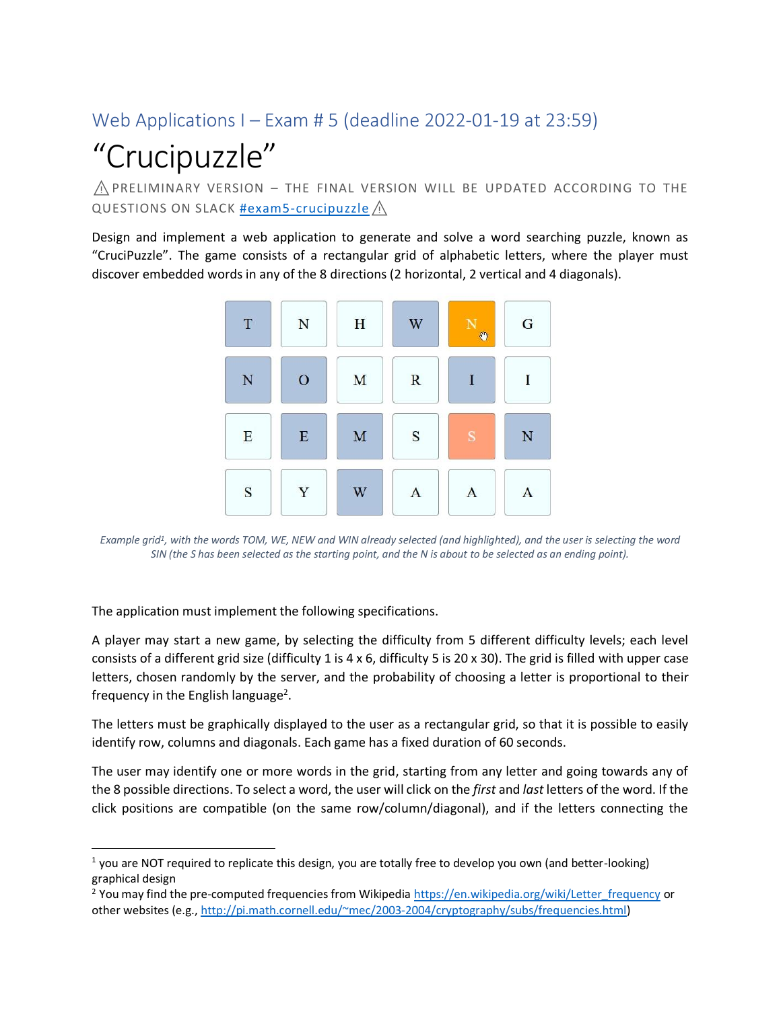## Web Applications I – Exam # 5 (deadline 2022-01-19 at 23:59)

# "Crucipuzzle"

 $\Lambda$  PRELIMINARY VERSION – THE FINAL VERSION WILL BE UPDATED ACCORDING TO THE QUESTIONS ON SLACK [#exam5-crucipuzzle](https://wa1-2021.slack.com/archives/C02S1E8AZF0) /\

Design and implement a web application to generate and solve a word searching puzzle, known as "CruciPuzzle". The game consists of a rectangular grid of alphabetic letters, where the player must discover embedded words in any of the 8 directions (2 horizontal, 2 vertical and 4 diagonals).



*Example grid<sup>1</sup> , with the words TOM, WE, NEW and WIN already selected (and highlighted), and the user is selecting the word SIN (the S has been selected as the starting point, and the N is about to be selected as an ending point).*

The application must implement the following specifications.

A player may start a new game, by selecting the difficulty from 5 different difficulty levels; each level consists of a different grid size (difficulty 1 is 4 x 6, difficulty 5 is 20 x 30). The grid is filled with upper case letters, chosen randomly by the server, and the probability of choosing a letter is proportional to their frequency in the English language<sup>2</sup>.

The letters must be graphically displayed to the user as a rectangular grid, so that it is possible to easily identify row, columns and diagonals. Each game has a fixed duration of 60 seconds.

The user may identify one or more words in the grid, starting from any letter and going towards any of the 8 possible directions. To select a word, the user will click on the *first* and *last* letters of the word. If the click positions are compatible (on the same row/column/diagonal), and if the letters connecting the

 $<sup>1</sup>$  you are NOT required to replicate this design, you are totally free to develop you own (and better-looking)</sup> graphical design

<sup>&</sup>lt;sup>2</sup> You may find the pre-computed frequencies from Wikipedi[a https://en.wikipedia.org/wiki/Letter\\_frequency](https://en.wikipedia.org/wiki/Letter_frequency) or other websites (e.g.[, http://pi.math.cornell.edu/~mec/2003-2004/cryptography/subs/frequencies.html\)](http://pi.math.cornell.edu/~mec/2003-2004/cryptography/subs/frequencies.html)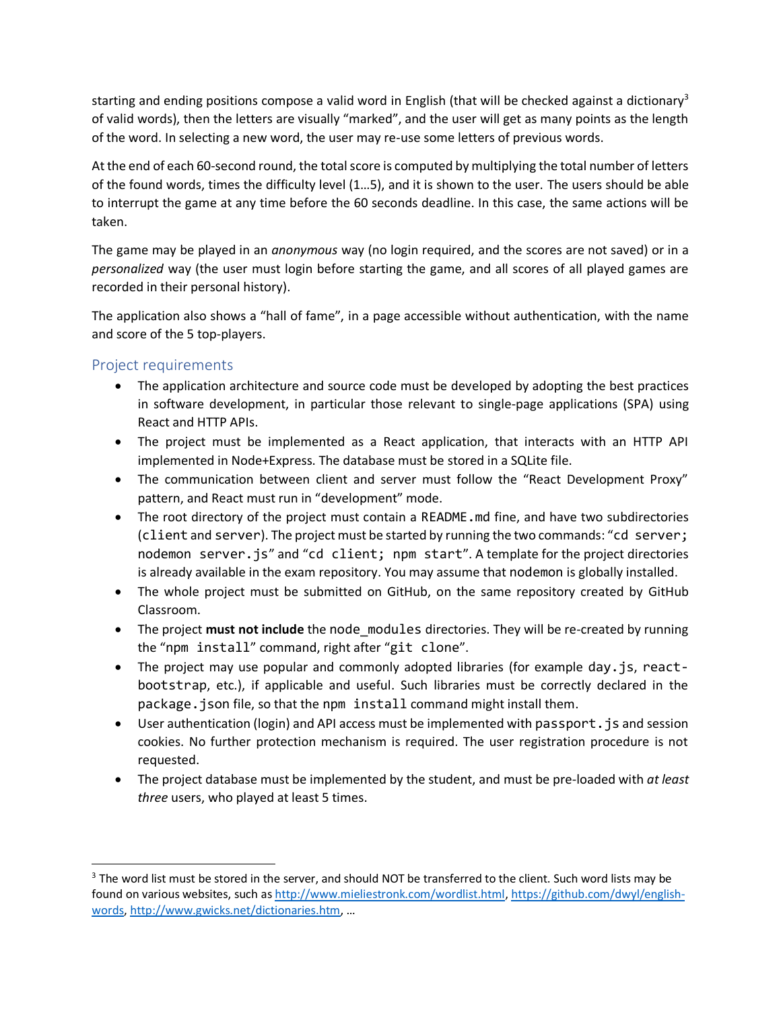starting and ending positions compose a valid word in English (that will be checked against a dictionary<sup>3</sup> of valid words), then the letters are visually "marked", and the user will get as many points as the length of the word. In selecting a new word, the user may re-use some letters of previous words.

At the end of each 60-second round, the total score is computed by multiplying the total number of letters of the found words, times the difficulty level (1…5), and it is shown to the user. The users should be able to interrupt the game at any time before the 60 seconds deadline. In this case, the same actions will be taken.

The game may be played in an *anonymous* way (no login required, and the scores are not saved) or in a *personalized* way (the user must login before starting the game, and all scores of all played games are recorded in their personal history).

The application also shows a "hall of fame", in a page accessible without authentication, with the name and score of the 5 top-players.

#### Project requirements

- The application architecture and source code must be developed by adopting the best practices in software development, in particular those relevant to single-page applications (SPA) using React and HTTP APIs.
- The project must be implemented as a React application, that interacts with an HTTP API implemented in Node+Express. The database must be stored in a SQLite file.
- The communication between client and server must follow the "React Development Proxy" pattern, and React must run in "development" mode.
- The root directory of the project must contain a README. and fine, and have two subdirectories (client and server). The project must be started by running the two commands: "cd server; nodemon server.js" and "cd client; npm start". A template for the project directories is already available in the exam repository. You may assume that nodemon is globally installed.
- The whole project must be submitted on GitHub, on the same repository created by GitHub Classroom.
- The project **must not include** the node\_modules directories. They will be re-created by running the "npm install" command, right after "git clone".
- The project may use popular and commonly adopted libraries (for example day. is, reactbootstrap, etc.), if applicable and useful. Such libraries must be correctly declared in the package.json file, so that the npm install command might install them.
- User authentication (login) and API access must be implemented with passport. is and session cookies. No further protection mechanism is required. The user registration procedure is not requested.
- The project database must be implemented by the student, and must be pre-loaded with *at least three* users, who played at least 5 times.

<sup>&</sup>lt;sup>3</sup> The word list must be stored in the server, and should NOT be transferred to the client. Such word lists may be found on various websites, such a[s http://www.mieliestronk.com/wordlist.html,](http://www.mieliestronk.com/wordlist.html) [https://github.com/dwyl/english](https://github.com/dwyl/english-words)[words,](https://github.com/dwyl/english-words) <http://www.gwicks.net/dictionaries.htm>, …